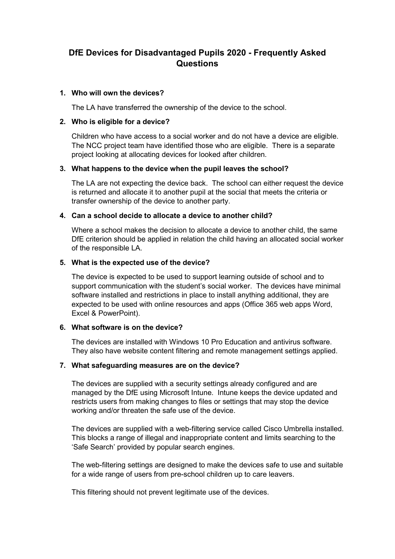# DfE Devices for Disadvantaged Pupils 2020 - Frequently Asked **Questions**

## 1. Who will own the devices?

The LA have transferred the ownership of the device to the school.

## 2. Who is eligible for a device?

Children who have access to a social worker and do not have a device are eligible. The NCC project team have identified those who are eligible. There is a separate project looking at allocating devices for looked after children.

#### 3. What happens to the device when the pupil leaves the school?

The LA are not expecting the device back. The school can either request the device is returned and allocate it to another pupil at the social that meets the criteria or transfer ownership of the device to another party.

# 4. Can a school decide to allocate a device to another child?

Where a school makes the decision to allocate a device to another child, the same DfE criterion should be applied in relation the child having an allocated social worker of the responsible LA.

#### 5. What is the expected use of the device?

The device is expected to be used to support learning outside of school and to support communication with the student's social worker. The devices have minimal software installed and restrictions in place to install anything additional, they are expected to be used with online resources and apps (Office 365 web apps Word, Excel & PowerPoint).

#### 6. What software is on the device?

The devices are installed with Windows 10 Pro Education and antivirus software. They also have website content filtering and remote management settings applied.

# 7. What safeguarding measures are on the device?

The devices are supplied with a security settings already configured and are managed by the DfE using Microsoft Intune. Intune keeps the device updated and restricts users from making changes to files or settings that may stop the device working and/or threaten the safe use of the device.

The devices are supplied with a web-filtering service called Cisco Umbrella installed. This blocks a range of illegal and inappropriate content and limits searching to the 'Safe Search' provided by popular search engines.

The web-filtering settings are designed to make the devices safe to use and suitable for a wide range of users from pre-school children up to care leavers.

This filtering should not prevent legitimate use of the devices.